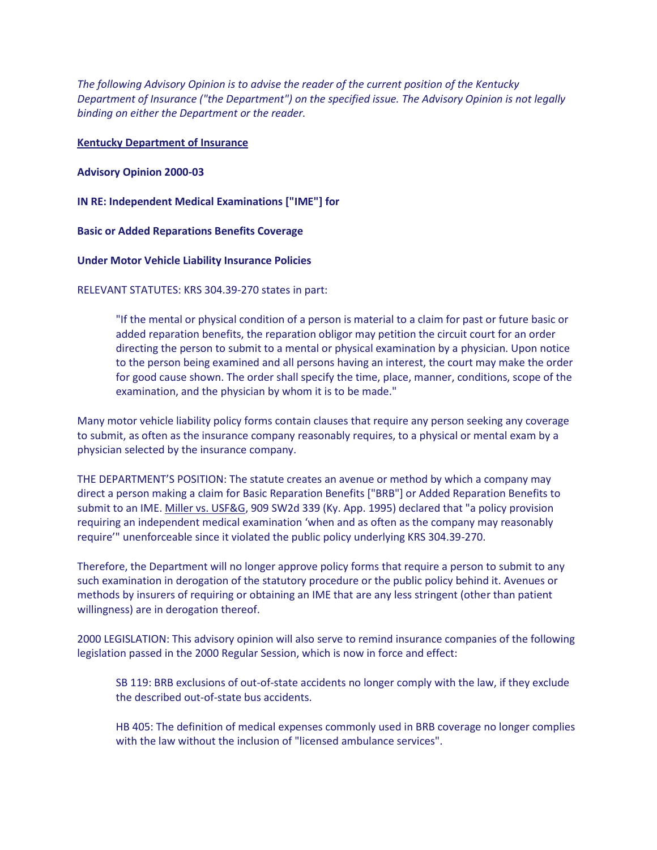*The following Advisory Opinion is to advise the reader of the current position of the Kentucky Department of Insurance ("the Department") on the specified issue. The Advisory Opinion is not legally binding on either the Department or the reader.*

## **Kentucky Department of Insurance**

**Advisory Opinion 2000-03**

**IN RE: Independent Medical Examinations ["IME"] for** 

**Basic or Added Reparations Benefits Coverage**

**Under Motor Vehicle Liability Insurance Policies**

RELEVANT STATUTES: KRS 304.39-270 states in part:

"If the mental or physical condition of a person is material to a claim for past or future basic or added reparation benefits, the reparation obligor may petition the circuit court for an order directing the person to submit to a mental or physical examination by a physician. Upon notice to the person being examined and all persons having an interest, the court may make the order for good cause shown. The order shall specify the time, place, manner, conditions, scope of the examination, and the physician by whom it is to be made."

Many motor vehicle liability policy forms contain clauses that require any person seeking any coverage to submit, as often as the insurance company reasonably requires, to a physical or mental exam by a physician selected by the insurance company.

THE DEPARTMENT'S POSITION: The statute creates an avenue or method by which a company may direct a person making a claim for Basic Reparation Benefits ["BRB"] or Added Reparation Benefits to submit to an IME. Miller vs. USF&G, 909 SW2d 339 (Ky. App. 1995) declared that "a policy provision requiring an independent medical examination 'when and as often as the company may reasonably require'" unenforceable since it violated the public policy underlying KRS 304.39-270.

Therefore, the Department will no longer approve policy forms that require a person to submit to any such examination in derogation of the statutory procedure or the public policy behind it. Avenues or methods by insurers of requiring or obtaining an IME that are any less stringent (other than patient willingness) are in derogation thereof.

2000 LEGISLATION: This advisory opinion will also serve to remind insurance companies of the following legislation passed in the 2000 Regular Session, which is now in force and effect:

SB 119: BRB exclusions of out-of-state accidents no longer comply with the law, if they exclude the described out-of-state bus accidents.

HB 405: The definition of medical expenses commonly used in BRB coverage no longer complies with the law without the inclusion of "licensed ambulance services".